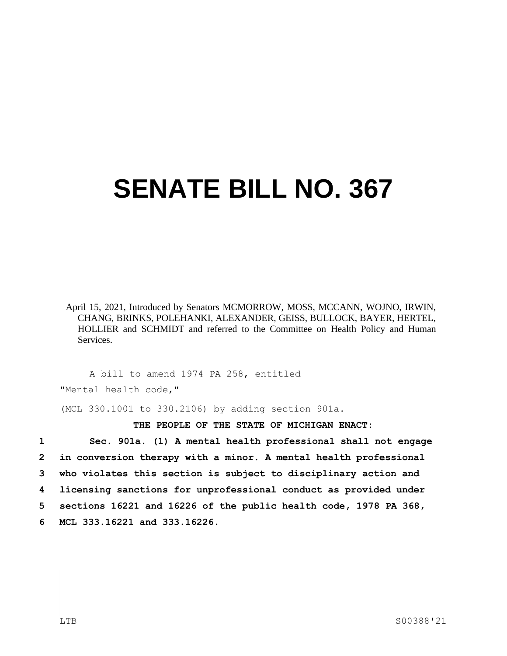## **SENATE BILL NO. 367**

April 15, 2021, Introduced by Senators MCMORROW, MOSS, MCCANN, WOJNO, IRWIN, CHANG, BRINKS, POLEHANKI, ALEXANDER, GEISS, BULLOCK, BAYER, HERTEL, HOLLIER and SCHMIDT and referred to the Committee on Health Policy and Human Services.

A bill to amend 1974 PA 258, entitled "Mental health code,"

(MCL 330.1001 to 330.2106) by adding section 901a.

**THE PEOPLE OF THE STATE OF MICHIGAN ENACT:**

 **Sec. 901a. (1) A mental health professional shall not engage in conversion therapy with a minor. A mental health professional who violates this section is subject to disciplinary action and licensing sanctions for unprofessional conduct as provided under sections 16221 and 16226 of the public health code, 1978 PA 368, MCL 333.16221 and 333.16226.**